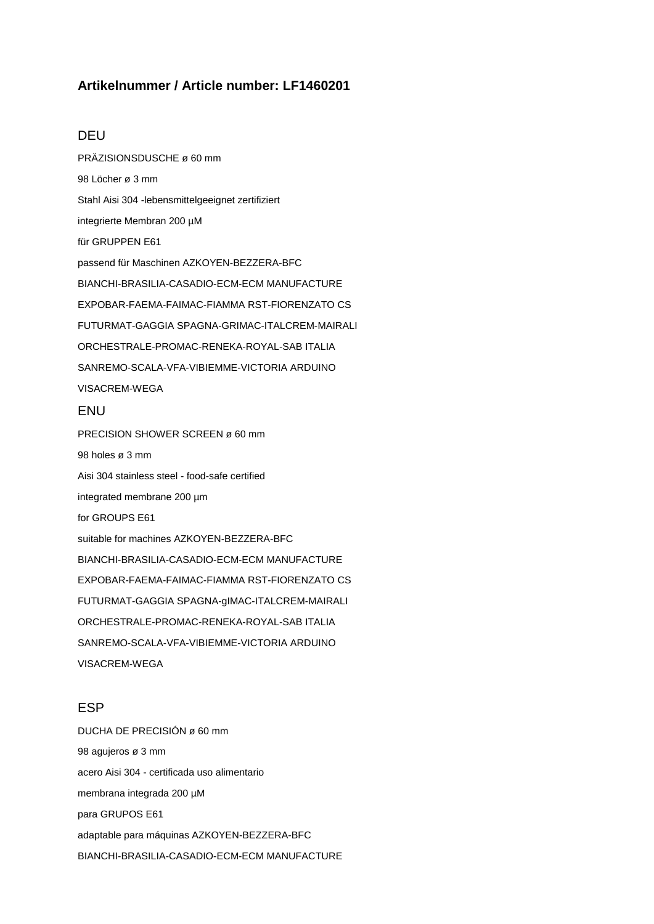# **Artikelnummer / Article number: LF1460201**

#### DEU

PRÄZISIONSDUSCHE ø 60 mm 98 Löcher ø 3 mm Stahl Aisi 304 -lebensmittelgeeignet zertifiziert integrierte Membran 200 µM für GRUPPEN E61 passend für Maschinen AZKOYEN-BEZZERA-BFC BIANCHI-BRASILIA-CASADIO-ECM-ECM MANUFACTURE EXPOBAR-FAEMA-FAIMAC-FIAMMA RST-FIORENZATO CS FUTURMAT-GAGGIA SPAGNA-GRIMAC-ITALCREM-MAIRALI ORCHESTRALE-PROMAC-RENEKA-ROYAL-SAB ITALIA SANREMO-SCALA-VFA-VIBIEMME-VICTORIA ARDUINO VISACREM-WEGA

#### **FNU**

PRECISION SHOWER SCREEN ø 60 mm 98 holes ø 3 mm Aisi 304 stainless steel - food-safe certified integrated membrane 200 µm for GROUPS E61 suitable for machines AZKOYEN-BEZZERA-BFC BIANCHI-BRASILIA-CASADIO-ECM-ECM MANUFACTURE EXPOBAR-FAEMA-FAIMAC-FIAMMA RST-FIORENZATO CS FUTURMAT-GAGGIA SPAGNA-gIMAC-ITALCREM-MAIRALI ORCHESTRALE-PROMAC-RENEKA-ROYAL-SAB ITALIA SANREMO-SCALA-VFA-VIBIEMME-VICTORIA ARDUINO VISACREM-WEGA

# ESP

DUCHA DE PRECISIÓN ø 60 mm 98 agujeros ø 3 mm acero Aisi 304 - certificada uso alimentario membrana integrada 200 µM para GRUPOS E61 adaptable para máquinas AZKOYEN-BEZZERA-BFC BIANCHI-BRASILIA-CASADIO-ECM-ECM MANUFACTURE